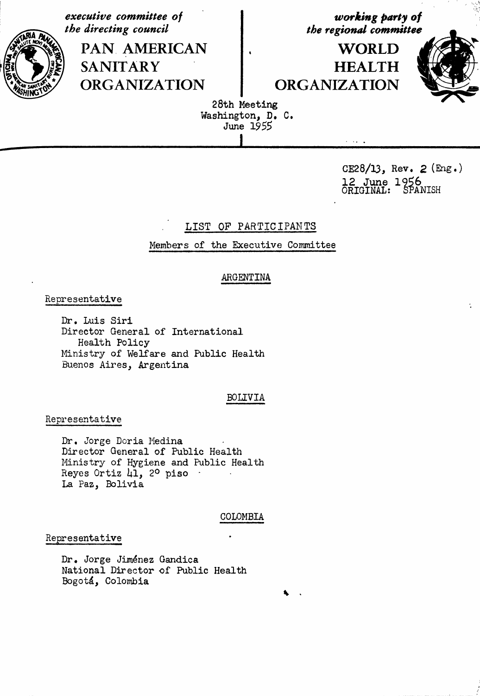executive committee of the directing council

> PAN AMERICAN **SANITARY ORGANIZATION**

working party of the regional committee

**WORLD HEALTH ORGANIZATION** 



÷

28th Meeting Washington, D. C. June 1955

> CE28/13, Rev.  $2$  (Eng.) 12 June 1956<br>ORIGINAL: SPANISH

# LIST OF PARTICIPANTS

Members of the Executive Committee

# ARGENTINA

### Representative

Dr. Luis Siri Director General of International Health Policy Ministry of Welfare and Public Health Buenos Aires, Argentina

### **BOLIVIA**

### Representative

Dr. Jorge Doria Medina Director General of Public Health Ministry of Hygiene and Public Health Reyes Ortiz 41, 2º piso La Paz, Bolivia

### COLOMBIA

#### Representative

Dr. Jorge Jiménez Gandica National Director of Public Health Bogotá, Colombia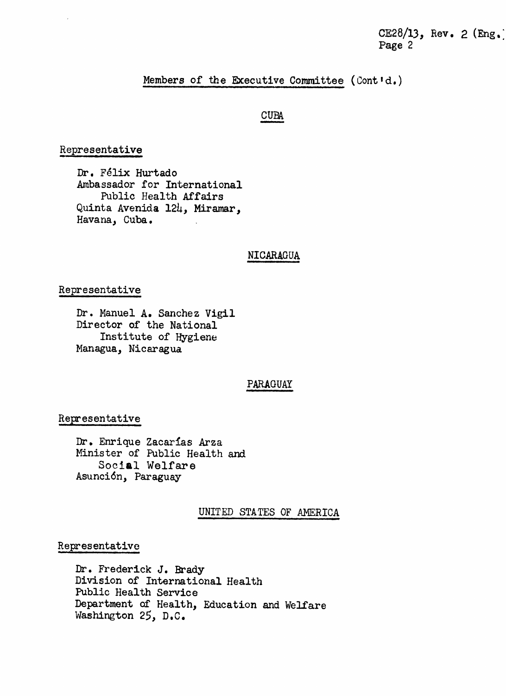CE28/13, Rev. 2 (Eng.) Page 2

### Members of the Executive Committee (Contid.)

# **CUBA**

### Representative

Dr. Félix Hurtado Ambassador for International Public Health Affairs Quinta Avenida 124, Miramar, Havana, Cuba.

# NICARAGUA

#### Representative

Dr. Manuel A. Sanchez Vigil Director of the National Institute of Hygiene Managua, Nicaragua

# PARAGUAY

### Representative

Dr. Enrique Zacarías Arza Minister of Public Health and Social Welfare Asunción, Paraguay

#### UNITED STATES OF AMERICA

#### Representative

Dr. Frederick J. Brady Division of International Health Public Health Service Department of Health, Education and Welfare Washington 25, D.C.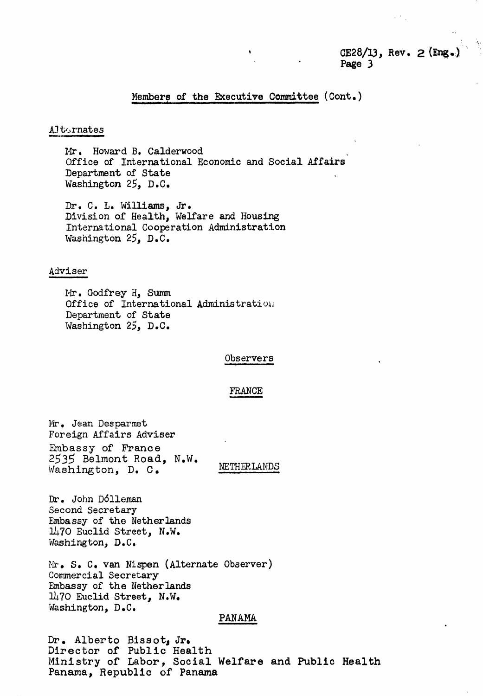# $CE28/13$ , Rev. 2 (Eng.) Page 3

# Members of the Executive Committee (Cont.)

#### Alternates

Mr. Howard B. Calderwood Office of International Economic and Social Affairs Department of State Washington 25, D.C.

Dr. C. L. Williams, Jr. Division of Health, Welfare and Housing International Cooperation Administration Washington 25, D.C.

#### Adviser

Mr. Godfrey H, Summ Office of International Administration Department of State Washington 25, D.C.

#### $0$ bservers

### FRANCE

Mr. Jean Desparmet Foreign Affairs Adviser Embassy of France 2535 Belmont Road, N.W. Washington, D. C. NETHERLANDS

Dr. John D611eman Second Secretary Embassy of the Netherlands 1470 Euclid Street, N.W. Washington, D. C.

Mr. S. C. van Nispen (Alternate Observer) Commercial Secretary Embassy of the Netherlands 1470 Euclid Street, N.W. Washington, D.C.

### PANAMA

Dr. Alberto Bissotj Jr. Director of Public Health Ministry of Labor, Social Welfare and Public Health Panama, Republic of Panama